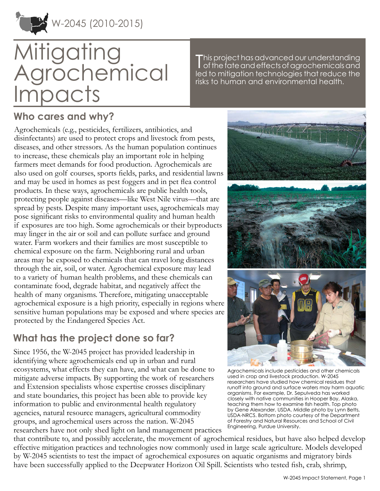

W-2045 (2010-2015)

# **Mitigating grochemical** npacts

This project has advanced our understanding<br>| of the fate and effects of agrochemicals and<br>| of the fate and effects of agrochemicals and led to mitigation technologies that reduce the risks to human and environmental health.

## **Who cares and why?**

Agrochemicals (e.g., pesticides, fertilizers, antibiotics, and disinfectants) are used to protect crops and livestock from pests, diseases, and other stressors. As the human population continues to increase, these chemicals play an important role in helping farmers meet demands for food production. Agrochemicals are also used on golf courses, sports fields, parks, and residential lawns and may be used in homes as pest foggers and in pet flea control products. In these ways, agrochemicals are public health tools, protecting people against diseases—like West Nile virus—that are spread by pests. Despite many important uses, agrochemicals may pose significant risks to environmental quality and human health if exposures are too high. Some agrochemicals or their byproducts may linger in the air or soil and can pollute surface and ground water. Farm workers and their families are most susceptible to chemical exposure on the farm. Neighboring rural and urban areas may be exposed to chemicals that can travel long distances through the air, soil, or water. Agrochemical exposure may lead to a variety of human health problems, and these chemicals can contaminate food, degrade habitat, and negatively affect the health of many organisms. Therefore, mitigating unacceptable agrochemical exposure is a high priority, especially in regions where sensitive human populations may be exposed and where species are protected by the Endangered Species Act.

## **What has the project done so far?**

Since 1956, the W-2045 project has provided leadership in identifying where agrochemicals end up in urban and rural ecosystems, what effects they can have, and what can be done to mitigate adverse impacts. By supporting the work of researchers and Extension specialists whose expertise crosses disciplinary and state boundaries, this project has been able to provide key information to public and environmental health regulatory agencies, natural resource managers, agricultural commodity groups, and agrochemical users across the nation. W-2045 researchers have not only shed light on land management practices



Agrochemicals include pesticides and other chemicals used in crop and livestock production. W-2045 researchers have studied how chemical residues that runoff into ground and surface waters may harm aquatic organisms. For example, Dr. Sepulveda has worked closely with native communities in Hooper Bay, Alaska, teaching them how to examine fish health. Top photo by Gene Alexander, USDA. Middle photo by Lynn Betts, USDA-NRCS. Bottom photo courtesy of the Department of Forestry and Natural Resources and School of Civil Engineering, Purdue University.

that contribute to, and possibly accelerate, the movement of agrochemical residues, but have also helped develop effective mitigation practices and technologies now commonly used in large scale agriculture. Models developed by W-2045 scientists to test the impact of agrochemical exposures on aquatic organisms and migratory birds have been successfully applied to the Deepwater Horizon Oil Spill. Scientists who tested fish, crab, shrimp,